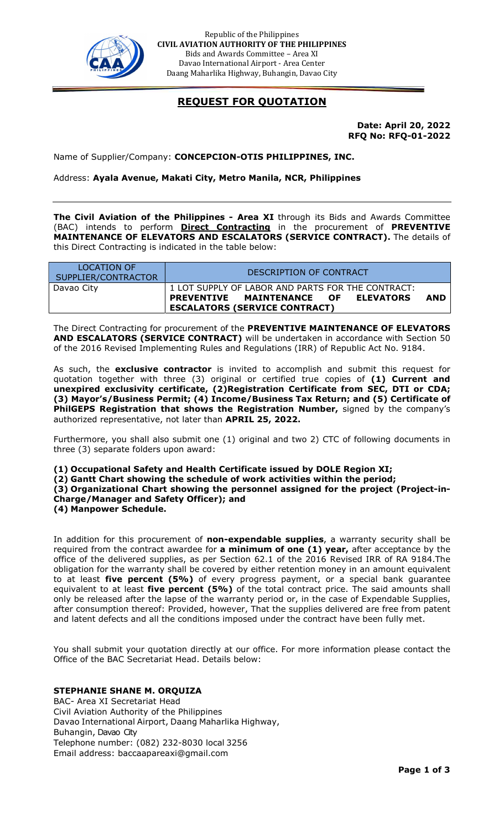

Republic of the Philippines CIVIL AVIATION AUTHORITY OF THE PHILIPPINES Bids and Awards Committee – Area XI Davao International Airport - Area Center Daang Maharlika Highway, Buhangin, Davao City

## REQUEST FOR QUOTATION

Date: April 20, 2022 RFQ No: RFQ-01-2022

Name of Supplier/Company: CONCEPCION-OTIS PHILIPPINES, INC.

Address: Ayala Avenue, Makati City, Metro Manila, NCR, Philippines

The Civil Aviation of the Philippines - Area XI through its Bids and Awards Committee (BAC) intends to perform **Direct Contracting** in the procurement of PREVENTIVE MAINTENANCE OF ELEVATORS AND ESCALATORS (SERVICE CONTRACT). The details of this Direct Contracting is indicated in the table below:

| LOCATION OF<br>SUPPLIER/CONTRACTOR | DESCRIPTION OF CONTRACT                                                                                                          |     |
|------------------------------------|----------------------------------------------------------------------------------------------------------------------------------|-----|
| Davao City                         | 1 LOT SUPPLY OF LABOR AND PARTS FOR THE CONTRACT:<br>PREVENTIVE MAINTENANCE OF ELEVATORS<br><b>ESCALATORS (SERVICE CONTRACT)</b> | AND |

The Direct Contracting for procurement of the PREVENTIVE MAINTENANCE OF ELEVATORS AND ESCALATORS (SERVICE CONTRACT) will be undertaken in accordance with Section 50 of the 2016 Revised Implementing Rules and Regulations (IRR) of Republic Act No. 9184.

As such, the exclusive contractor is invited to accomplish and submit this request for quotation together with three (3) original or certified true copies of (1) Current and unexpired exclusivity certificate, (2)Registration Certificate from SEC, DTI or CDA; (3) Mayor's/Business Permit; (4) Income/Business Tax Return; and (5) Certificate of PhilGEPS Registration that shows the Registration Number, signed by the company's authorized representative, not later than APRIL 25, 2022.

Furthermore, you shall also submit one (1) original and two 2) CTC of following documents in three (3) separate folders upon award:

(1) Occupational Safety and Health Certificate issued by DOLE Region XI; (2) Gantt Chart showing the schedule of work activities within the period;

(3) Organizational Chart showing the personnel assigned for the project (Project-in-Charge/Manager and Safety Officer); and

(4) Manpower Schedule.

In addition for this procurement of **non-expendable supplies**, a warranty security shall be required from the contract awardee for a minimum of one (1) year, after acceptance by the office of the delivered supplies, as per Section 62.1 of the 2016 Revised IRR of RA 9184.The obligation for the warranty shall be covered by either retention money in an amount equivalent to at least five percent (5%) of every progress payment, or a special bank guarantee equivalent to at least five percent (5%) of the total contract price. The said amounts shall only be released after the lapse of the warranty period or, in the case of Expendable Supplies, after consumption thereof: Provided, however, That the supplies delivered are free from patent and latent defects and all the conditions imposed under the contract have been fully met.

You shall submit your quotation directly at our office. For more information please contact the Office of the BAC Secretariat Head. Details below:

#### STEPHANIE SHANE M. ORQUIZA

BAC- Area XI Secretariat Head Civil Aviation Authority of the Philippines Davao International Airport, Daang Maharlika Highway, Buhangin, Davao City Telephone number: (082) 232-8030 local 3256 Email address: baccaapareaxi@gmail.com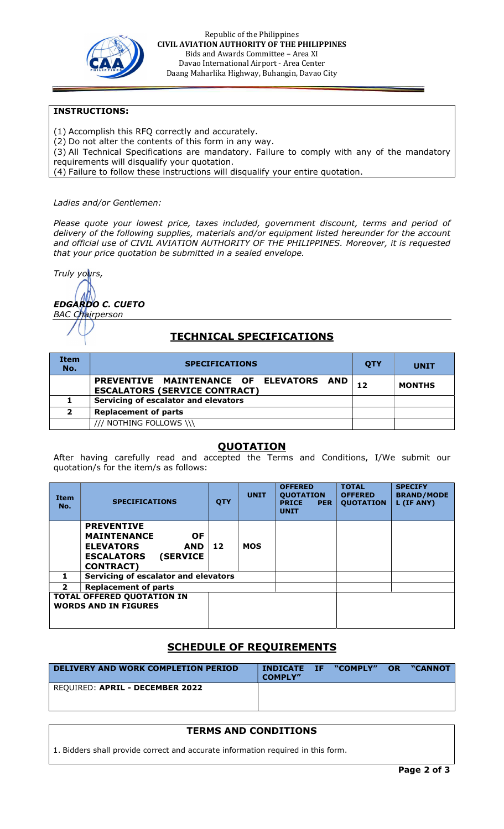

Republic of the Philippines CIVIL AVIATION AUTHORITY OF THE PHILIPPINES Bids and Awards Committee – Area XI Davao International Airport - Area Center Daang Maharlika Highway, Buhangin, Davao City

### INSTRUCTIONS:

- (1) Accomplish this RFQ correctly and accurately.
- (2) Do not alter the contents of this form in any way.
- (3) All Technical Specifications are mandatory. Failure to comply with any of the mandatory requirements will disqualify your quotation.
- (4) Failure to follow these instructions will disqualify your entire quotation.

#### Ladies and/or Gentlemen:

Please quote your lowest price, taxes included, government discount, terms and period of delivery of the following supplies, materials and/or equipment listed hereunder for the account and official use of CIVIL AVIATION AUTHORITY OF THE PHILIPPINES. Moreover, it is requested that your price quotation be submitted in a sealed envelope.

Truly yours,

EDGARDO C. CUETO BAC Chairperson

# TECHNICAL SPECIFICATIONS

| <b>Item</b><br>No. | <b>SPECIFICATIONS</b>                                                           | <b>OTY</b> | <b>UNIT</b>   |
|--------------------|---------------------------------------------------------------------------------|------------|---------------|
|                    | PREVENTIVE MAINTENANCE OF ELEVATORS AND<br><b>ESCALATORS (SERVICE CONTRACT)</b> | 12         | <b>MONTHS</b> |
|                    | Servicing of escalator and elevators                                            |            |               |
| $\overline{2}$     | <b>Replacement of parts</b>                                                     |            |               |
|                    | /// NOTHING FOLLOWS \\\                                                         |            |               |

### QUOTATION

After having carefully read and accepted the Terms and Conditions, I/We submit our quotation/s for the item/s as follows:

| <b>Item</b><br>No. | <b>SPECIFICATIONS</b>                                                                                                                                | <b>QTY</b> | <b>UNIT</b> | <b>OFFERED</b><br><b>QUOTATION</b><br><b>PRICE</b><br><b>PER</b><br><b>UNIT</b> | <b>TOTAL</b><br><b>OFFERED</b><br><b>QUOTATION</b> | <b>SPECIFY</b><br><b>BRAND/MODE</b><br>L (IF ANY) |
|--------------------|------------------------------------------------------------------------------------------------------------------------------------------------------|------------|-------------|---------------------------------------------------------------------------------|----------------------------------------------------|---------------------------------------------------|
|                    | <b>PREVENTIVE</b><br><b>MAINTENANCE</b><br><b>OF</b><br><b>ELEVATORS</b><br><b>AND</b><br><b>(SERVICE)</b><br><b>ESCALATORS</b><br><b>CONTRACT</b> ) | 12         | <b>MOS</b>  |                                                                                 |                                                    |                                                   |
| 1                  | Servicing of escalator and elevators                                                                                                                 |            |             |                                                                                 |                                                    |                                                   |
| $\mathbf{2}$       | <b>Replacement of parts</b>                                                                                                                          |            |             |                                                                                 |                                                    |                                                   |
|                    | <b>TOTAL OFFERED QUOTATION IN</b><br><b>WORDS AND IN FIGURES</b>                                                                                     |            |             |                                                                                 |                                                    |                                                   |

# SCHEDULE OF REQUIREMENTS

| <b>DELIVERY AND WORK COMPLETION PERIOD</b> | <b>INDICATE IF</b><br><b>COMPLY"</b> | "COMPLY" | <b>OR</b> | "CANNOT |
|--------------------------------------------|--------------------------------------|----------|-----------|---------|
| REOUIRED: APRIL - DECEMBER 2022            |                                      |          |           |         |

### TERMS AND CONDITIONS

1. Bidders shall provide correct and accurate information required in this form.